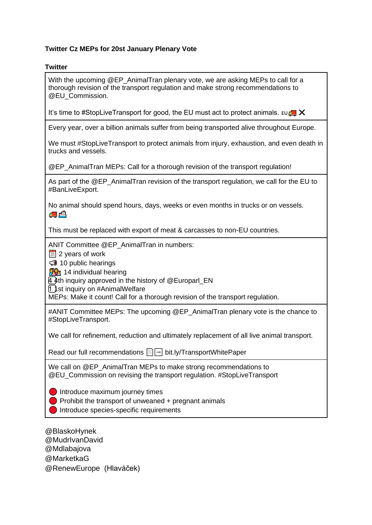## **Twitter Cz MEPs for 20st January Plenary Vote**

## **Twitter**

With the upcoming @EP\_AnimalTran plenary vote, we are asking MEPs to call for a thorough revision of the transport regulation and make strong recommendations to @EU\_Commission.

It's time to #StopLiveTransport for good, the EU must act to protect animals.  $\text{Eu} \right) \times$ 

Every year, over a billion animals suffer from being transported alive throughout Europe.

We must #StopLiveTransport to protect animals from injury, exhaustion, and even death in trucks and vessels.

@EP\_AnimalTran MEPs: Call for a thorough revision of the transport regulation!

As part of the @EP\_AnimalTran revision of the transport regulation, we call for the EU to #BanLiveExport.

No animal should spend hours, days, weeks or even months in trucks or on vessels. A.

This must be replaced with export of meat & carcasses to non-EU countries.

ANIT Committee @EP\_AnimalTran in numbers:

 $31$  2 years of work

 $\bigcirc$  10 public hearings

**14** individual hearing

4⃣4th inquiry approved in the history of @Europarl\_EN

1 st inquiry on #AnimalWelfare

MEPs: Make it count! Call for a thorough revision of the transport regulation.

#ANIT Committee MEPs: The upcoming @EP\_AnimalTran plenary vote is the chance to #StopLiveTransport.

We call for refinement, reduction and ultimately replacement of all live animal transport.

Read our full recommendations **■** bit.ly/TransportWhitePaper

We call on @EP\_AnimalTran MEPs to make strong recommendations to @EU\_Commission on revising the transport regulation. #StopLiveTransport

**Introduce maximum journey times** 

 $\Box$  Prohibit the transport of unweaned + pregnant animals

Introduce species-specific requirements

@BlaskoHynek @MudrIvanDavid @Mdlabajova @MarketkaG @RenewEurope (Hlaváček)